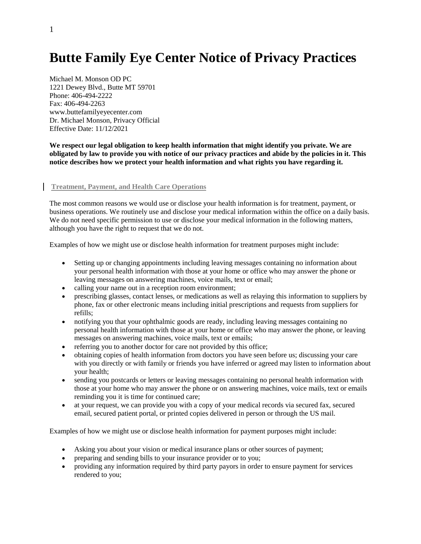# **Butte Family Eye Center Notice of Privacy Practices**

Michael M. Monson OD PC 1221 Dewey Blvd., Butte MT 59701 Phone: 406-494-2222  $Fax: 406-494-2263$ www.buttefamilyeyecenter.com Dr. Michael Monson, Privacy Official Effective Date: 11/12/2021

**We respect our legal obligation to keep health information that might identify you private. We are obligated by law to provide you with notice of our privacy practices and abide by the policies in it. This notice describes how we protect your health information and what rights you have regarding it.**

## **Treatment, Payment, and Health Care Operations**

The most common reasons we would use or disclose your health information is for treatment, payment, or business operations. We routinely use and disclose your medical information within the office on a daily basis. We do not need specific permission to use or disclose your medical information in the following matters, although you have the right to request that we do not.

Examples of how we might use or disclose health information for treatment purposes might include:

- Setting up or changing appointments including leaving messages containing no information about your personal health information with those at your home or office who may answer the phone or leaving messages on answering machines, voice mails, text or email;
- calling your name out in a reception room environment;
- prescribing glasses, contact lenses, or medications as well as relaying this information to suppliers by phone, fax or other electronic means including initial prescriptions and requests from suppliers for refills;
- notifying you that your ophthalmic goods are ready, including leaving messages containing no personal health information with those at your home or office who may answer the phone, or leaving messages on answering machines, voice mails, text or emails;
- referring you to another doctor for care not provided by this office;
- obtaining copies of health information from doctors you have seen before us; discussing your care with you directly or with family or friends you have inferred or agreed may listen to information about your health;
- sending you postcards or letters or leaving messages containing no personal health information with those at your home who may answer the phone or on answering machines, voice mails, text or emails reminding you it is time for continued care;
- at your request, we can provide you with a copy of your medical records via secured fax, secured email, secured patient portal, or printed copies delivered in person or through the US mail.

Examples of how we might use or disclose health information for payment purposes might include:

- Asking you about your vision or medical insurance plans or other sources of payment;
- preparing and sending bills to your insurance provider or to you;
- providing any information required by third party payors in order to ensure payment for services rendered to you;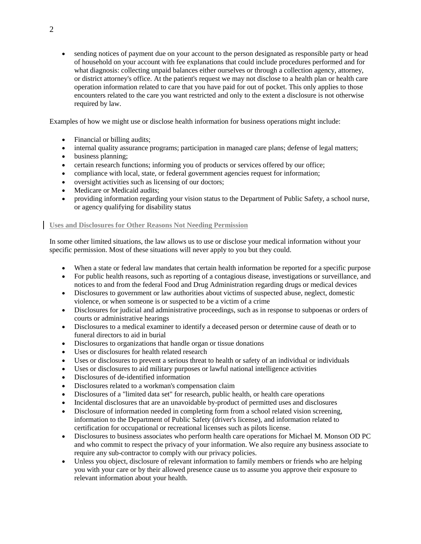sending notices of payment due on your account to the person designated as responsible party or head of household on your account with fee explanations that could include procedures performed and for what diagnosis: collecting unpaid balances either ourselves or through a collection agency, attorney, or district attorney's office. At the patient's request we may not disclose to a health plan or health care operation information related to care that you have paid for out of pocket. This only applies to those encounters related to the care you want restricted and only to the extent a disclosure is not otherwise required by law.

Examples of how we might use or disclose health information for business operations might include:

- Financial or billing audits;
- internal quality assurance programs; participation in managed care plans; defense of legal matters;
- business planning;
- certain research functions; informing you of products or services offered by our office;
- compliance with local, state, or federal government agencies request for information;
- oversight activities such as licensing of our doctors;
- Medicare or Medicaid audits;
- providing information regarding your vision status to the Department of Public Safety, a school nurse, or agency qualifying for disability status

## **Uses and Disclosures for Other Reasons Not Needing Permission**

In some other limited situations, the law allows us to use or disclose your medical information without your specific permission. Most of these situations will never apply to you but they could.

- When a state or federal law mandates that certain health information be reported for a specific purpose
- For public health reasons, such as reporting of a contagious disease, investigations or surveillance, and notices to and from the federal Food and Drug Administration regarding drugs or medical devices
- Disclosures to government or law authorities about victims of suspected abuse, neglect, domestic violence, or when someone is or suspected to be a victim of a crime
- Disclosures for judicial and administrative proceedings, such as in response to subpoenas or orders of courts or administrative hearings
- Disclosures to a medical examiner to identify a deceased person or determine cause of death or to funeral directors to aid in burial
- Disclosures to organizations that handle organ or tissue donations
- Uses or disclosures for health related research
- Uses or disclosures to prevent a serious threat to health or safety of an individual or individuals
- Uses or disclosures to aid military purposes or lawful national intelligence activities
- Disclosures of de-identified information
- Disclosures related to a workman's compensation claim
- Disclosures of a "limited data set" for research, public health, or health care operations
- Incidental disclosures that are an unavoidable by-product of permitted uses and disclosures
- Disclosure of information needed in completing form from a school related vision screening, information to the Department of Public Safety (driver's license), and information related to certification for occupational or recreational licenses such as pilots license.
- Disclosures to business associates who perform health care operations for Michael M. Monson OD PC and who commit to respect the privacy of your information. We also require any business associate to require any sub-contractor to comply with our privacy policies.
- Unless you object, disclosure of relevant information to family members or friends who are helping you with your care or by their allowed presence cause us to assume you approve their exposure to relevant information about your health.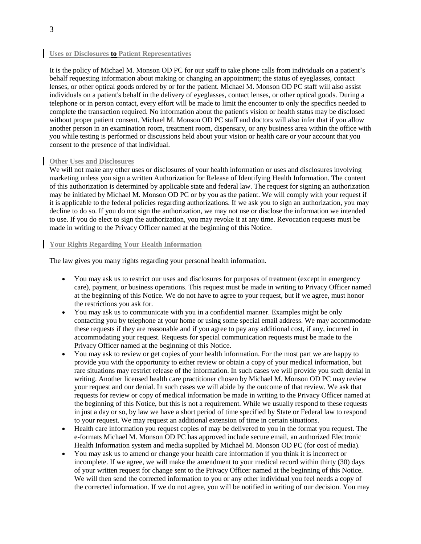## **Uses or Disclosures to Patient Representatives**

It is the policy of Michael M. Monson OD PC for our staff to take phone calls from individuals on a patient's behalf requesting information about making or changing an appointment; the status of eyeglasses, contact lenses, or other optical goods ordered by or for the patient. Michael M. Monson OD PC staff will also assist individuals on a patient's behalf in the delivery of eyeglasses, contact lenses, or other optical goods. During a telephone or in person contact, every effort will be made to limit the encounter to only the specifics needed to complete the transaction required. No information about the patient's vision or health status may be disclosed without proper patient consent. Michael M. Monson OD PC staff and doctors will also infer that if you allow another person in an examination room, treatment room, dispensary, or any business area within the office with you while testing is performed or discussions held about your vision or health care or your account that you consent to the presence of that individual.

#### **Other Uses and Disclosures**

We will not make any other uses or disclosures of your health information or uses and disclosures involving marketing unless you sign a written Authorization for Release of Identifying Health Information. The content of this authorization is determined by applicable state and federal law. The request for signing an authorization may be initiated by Michael M. Monson OD PC or by you as the patient. We will comply with your request if it is applicable to the federal policies regarding authorizations. If we ask you to sign an authorization, you may decline to do so. If you do not sign the authorization, we may not use or disclose the information we intended to use. If you do elect to sign the authorization, you may revoke it at any time. Revocation requests must be made in writing to the Privacy Officer named at the beginning of this Notice.

## **Your Rights Regarding Your Health Information**

The law gives you many rights regarding your personal health information.

- You may ask us to restrict our uses and disclosures for purposes of treatment (except in emergency care), payment, or business operations. This request must be made in writing to Privacy Officer named at the beginning of this Notice. We do not have to agree to your request, but if we agree, must honor the restrictions you ask for.
- You may ask us to communicate with you in a confidential manner. Examples might be only contacting you by telephone at your home or using some special email address. We may accommodate these requests if they are reasonable and if you agree to pay any additional cost, if any, incurred in accommodating your request. Requests for special communication requests must be made to the Privacy Officer named at the beginning of this Notice.
- You may ask to review or get copies of your health information. For the most part we are happy to provide you with the opportunity to either review or obtain a copy of your medical information, but rare situations may restrict release of the information. In such cases we will provide you such denial in writing. Another licensed health care practitioner chosen by Michael M. Monson OD PC may review your request and our denial. In such cases we will abide by the outcome of that review. We ask that requests for review or copy of medical information be made in writing to the Privacy Officer named at the beginning of this Notice, but this is not a requirement. While we usually respond to these requests in just a day or so, by law we have a short period of time specified by State or Federal law to respond to your request. We may request an additional extension of time in certain situations.
- Health care information you request copies of may be delivered to you in the format you request. The e-formats Michael M. Monson OD PC has approved include secure email, an authorized Electronic Health Information system and media supplied by Michael M. Monson OD PC (for cost of media).
- You may ask us to amend or change your health care information if you think it is incorrect or incomplete. If we agree, we will make the amendment to your medical record within thirty (30) days of your written request for change sent to the Privacy Officer named at the beginning of this Notice. We will then send the corrected information to you or any other individual you feel needs a copy of the corrected information. If we do not agree, you will be notified in writing of our decision. You may